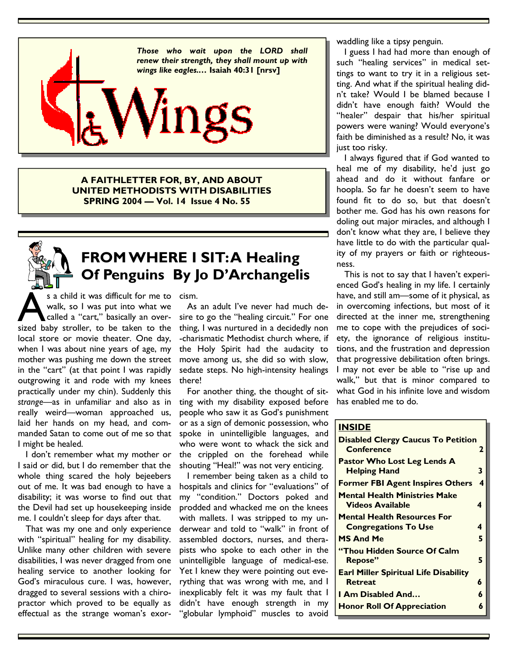

**A FAITHLETTER FOR, BY, AND ABOUT UNITED METHODISTS WITH DISABILITIES SPRING 2004 — Vol. 14 Issue 4 No. 55** 

# **FROM WHERE I SIT: A Healing Of Penguins By Jo D'Archangelis**

s a child it was difficult for me to cism. s a child it was difficult for me to walk, so I was put into what we called a "cart," basically an over-<br>sized baby stroller, to be taken to the walk, so I was put into what we called a "cart," basically an overlocal store or movie theater. One day, when I was about nine years of age, my mother was pushing me down the street in the "cart" (at that point I was rapidly outgrowing it and rode with my knees practically under my chin). Suddenly this *strange*—as in unfamiliar and also as in really weird—woman approached us, laid her hands on my head, and commanded Satan to come out of me so that I might be healed.

 I don't remember what my mother or I said or did, but I do remember that the whole thing scared the holy bejeebers out of me. It was bad enough to have a disability; it was worse to find out that the Devil had set up housekeeping inside me. I couldn't sleep for days after that.

 That was my one and only experience with "spiritual" healing for my disability. Unlike many other children with severe disabilities, I was never dragged from one healing service to another looking for God's miraculous cure. I was, however, dragged to several sessions with a chiropractor which proved to be equally as effectual as the strange woman's exor-

 As an adult I've never had much desire to go the "healing circuit." For one thing, I was nurtured in a decidedly non -charismatic Methodist church where, if the Holy Spirit had the audacity to move among us, she did so with slow, sedate steps. No high-intensity healings there!

 For another thing, the thought of sitting with my disability exposed before people who saw it as God's punishment or as a sign of demonic possession, who spoke in unintelligible languages, and who were wont to whack the sick and the crippled on the forehead while shouting "Heal!" was not very enticing.

 I remember being taken as a child to hospitals and clinics for "evaluations" of my "condition." Doctors poked and prodded and whacked me on the knees with mallets. I was stripped to my underwear and told to "walk" in front of assembled doctors, nurses, and therapists who spoke to each other in the unintelligible language of medical-ese. Yet I knew they were pointing out everything that was wrong with me, and I inexplicably felt it was my fault that I didn't have enough strength in my "globular lymphoid" muscles to avoid waddling like a tipsy penguin.

 I guess I had had more than enough of such "healing services" in medical settings to want to try it in a religious setting. And what if the spiritual healing didn't take? Would I be blamed because I didn't have enough faith? Would the "healer" despair that his/her spiritual powers were waning? Would everyone's faith be diminished as a result? No, it was just too risky.

 I always figured that if God wanted to heal me of my disability, he'd just go ahead and do it without fanfare or hoopla. So far he doesn't seem to have found fit to do so, but that doesn't bother me. God has his own reasons for doling out major miracles, and although I don't know what they are, I believe they have little to do with the particular quality of my prayers or faith or righteousness.

 This is not to say that I haven't experienced God's healing in my life. I certainly have, and still am—some of it physical, as in overcoming infections, but most of it directed at the inner me, strengthening me to cope with the prejudices of society, the ignorance of religious institutions, and the frustration and depression that progressive debilitation often brings. I may not ever be able to "rise up and walk," but that is minor compared to what God in his infinite love and wisdom has enabled me to do.

### **INSIDE**

| <b>Disabled Clergy Caucus To Petition</b><br>Conference           | 2 |
|-------------------------------------------------------------------|---|
| <b>Pastor Who Lost Leg Lends A</b><br><b>Helping Hand</b>         | 3 |
| <b>Former FBI Agent Inspires Others</b>                           | 4 |
| <b>Mental Health Ministries Make</b><br>Videos Available          | 4 |
| <b>Mental Health Resources For</b><br><b>Congregations To Use</b> | 4 |
| <b>MS And Me</b>                                                  | 5 |
| "Thou Hidden Source Of Calm<br>Repose"                            | 5 |
| <b>Earl Miller Spiritual Life Disability</b><br><b>Retreat</b>    | 6 |
| <b>I Am Disabled And</b>                                          | 6 |
| <b>Honor Roll Of Appreciation</b>                                 | 6 |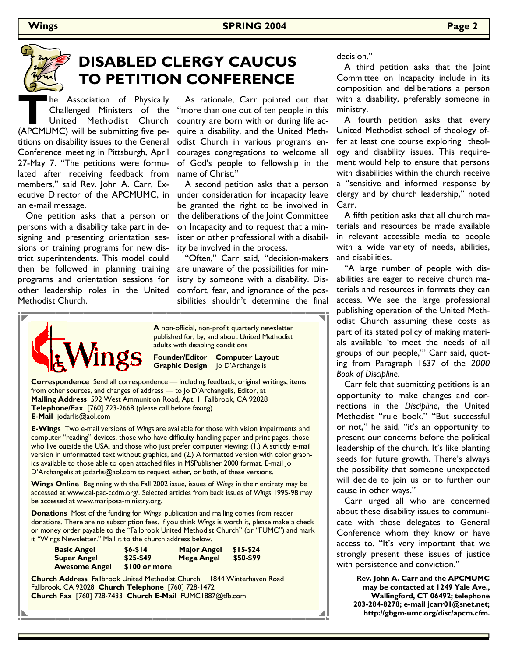

# **DISABLED CLERGY CAUCUS TO PETITION CONFERENCE**

**The Association of Physically Challenged Ministers of the United Methodist Church (APCMUMC) will be submitting five pe-**Challenged Ministers of the United Methodist Church titions on disability issues to the General Conference meeting in Pittsburgh, April 27-May 7. "The petitions were formulated after receiving feedback from members," said Rev. John A. Carr, Executive Director of the APCMUMC, in an e-mail message.

 One petition asks that a person or persons with a disability take part in designing and presenting orientation sessions or training programs for new district superintendents. This model could then be followed in planning training programs and orientation sessions for other leadership roles in the United Methodist Church.

 As rationale, Carr pointed out that "more than one out of ten people in this country are born with or during life acquire a disability, and the United Methodist Church in various programs encourages congregations to welcome all of God's people to fellowship in the name of Christ."

 A second petition asks that a person under consideration for incapacity leave be granted the right to be involved in the deliberations of the Joint Committee on Incapacity and to request that a minister or other professional with a disability be involved in the process.

 "Often," Carr said, "decision-makers are unaware of the possibilities for ministry by someone with a disability. Discomfort, fear, and ignorance of the possibilities shouldn't determine the final



**A** non-official, non-profit quarterly newsletter published for, by, and about United Methodist adults with disabling conditions

**Founder/Editor Computer Layout Graphic Design** Jo D'Archangelis

**Correspondence** Send all correspondence — including feedback, original writings, items from other sources, and changes of address — to Jo D'Archangelis, Editor, at **Mailing Address** 592 West Ammunition Road, Apt. 1 Fallbrook, CA 92028 **Telephone/Fax** [760] 723-2668 (please call before faxing) **E-Mail** jodarlis@aol.com

**E-Wings** Two e-mail versions of *Wings* are available for those with vision impairments and computer "reading" devices, those who have difficulty handling paper and print pages, those who live outside the USA, and those who just prefer computer viewing: (1.) A strictly e-mail version in unformatted text without graphics, and (2.) A formatted version with color graphics available to those able to open attached files in MSPublisher 2000 format. E-mail Jo D'Archangelis at jodarlis@aol.com to request either, or both, of these versions.

**Wings Online** Beginning with the Fall 2002 issue, issues of *Wings* in their entirety may be accessed at www.cal-pac-ccdm.org/. Selected articles from back issues of *Wings* 1995-98 may be accessed at www.mariposa-ministry.org.

**Donations** Most of the funding for *Wings'* publication and mailing comes from reader donations. There are no subscription fees. If you think *Wings* is worth it, please make a check or money order payable to the "Fallbrook United Methodist Church" (or "FUMC") and mark it "Wings Newsletter." Mail it to the church address below.

| <b>Basic Angel</b>   | $$6 - $14$    | <b>Major Angel</b> | \$15-\$24 |
|----------------------|---------------|--------------------|-----------|
| <b>Super Angel</b>   | $$25-549$     | Mega Angel         | \$50-\$99 |
| <b>Awesome Angel</b> | \$100 or more |                    |           |

**Church Address** Fallbrook United Methodist Church 1844 Winterhaven Road Fallbrook, CA 92028 **Church Telephone** [760] 728-1472 **Church Fax** [760] 728-7433 **Church E-Mail** FUMC1887@tfb.com

decision."

 A third petition asks that the Joint Committee on Incapacity include in its composition and deliberations a person with a disability, preferably someone in ministry.

 A fourth petition asks that every United Methodist school of theology offer at least one course exploring theology and disability issues. This requirement would help to ensure that persons with disabilities within the church receive a "sensitive and informed response by clergy and by church leadership," noted Carr.

 A fifth petition asks that all church materials and resources be made available in relevant accessible media to people with a wide variety of needs, abilities, and disabilities.

 "A large number of people with disabilities are eager to receive church materials and resources in formats they can access. We see the large professional publishing operation of the United Methodist Church assuming these costs as part of its stated policy of making materials available 'to meet the needs of all groups of our people,'" Carr said, quoting from Paragraph 1637 of the *2000 Book of Discipline*.

 Carr felt that submitting petitions is an opportunity to make changes and corrections in the *Discipline*, the United Methodist "rule book." "But successful or not," he said, "it's an opportunity to present our concerns before the political leadership of the church. It's like planting seeds for future growth. There's always the possibility that someone unexpected will decide to join us or to further our cause in other ways."

 Carr urged all who are concerned about these disability issues to communicate with those delegates to General Conference whom they know or have access to. "It's very important that we strongly present these issues of justice with persistence and conviction."

> **Rev. John A. Carr and the APCMUMC may be contacted at 1249 Yale Ave., Wallingford, CT 06492; telephone 203-284-8278; e-mail jcarr01@snet.net; http://gbgm-umc.org/disc/apcm.cfm.**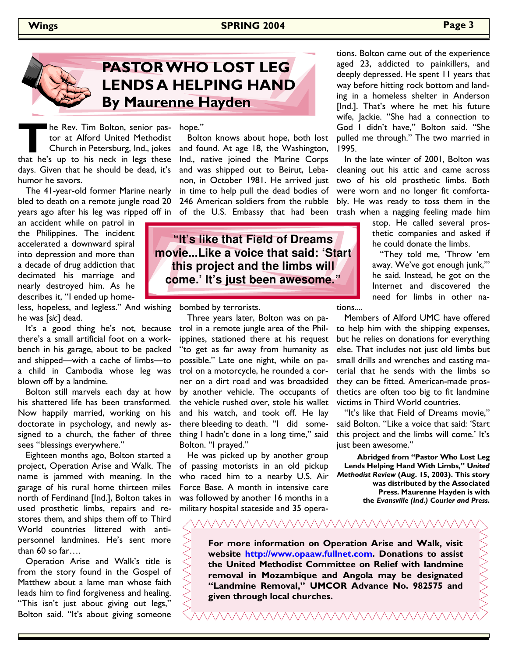## **Wings SPRING 2004 Page 3**



# **PASTOR WHO LOST LEG LENDS A HELPING HAND By Maurenne Hayden**

**The Rev. Tim Bolton, senior pastor at Alford United Methodist**<br>Church in Petersburg, Ind., jokes<br>that he's up to his neck in legs these tor at Alford United Methodist Church in Petersburg, Ind., jokes days. Given that he should be dead, it's humor he savors. he Rev. Tim Bolton, senior pas- hope."

 The 41-year-old former Marine nearly bled to death on a remote jungle road 20 years ago after his leg was ripped off in of the U.S. Embassy that had been

an accident while on patrol in the Philippines. The incident accelerated a downward spiral into depression and more than a decade of drug addiction that decimated his marriage and nearly destroyed him. As he describes it, "I ended up home-

less, hopeless, and legless." And wishing bombed by terrorists. he was [*sic*] dead.

 It's a good thing he's not, because there's a small artificial foot on a workbench in his garage, about to be packed and shipped—with a cache of limbs—to a child in Cambodia whose leg was blown off by a landmine.

 Bolton still marvels each day at how his shattered life has been transformed. Now happily married, working on his doctorate in psychology, and newly assigned to a church, the father of three sees "blessings everywhere."

 Eighteen months ago, Bolton started a project, Operation Arise and Walk. The name is jammed with meaning. In the garage of his rural home thirteen miles north of Ferdinand [Ind.], Bolton takes in used prosthetic limbs, repairs and restores them, and ships them off to Third World countries littered with antipersonnel landmines. He's sent more than 60 so far….

 Operation Arise and Walk's title is from the story found in the Gospel of Matthew about a lame man whose faith leads him to find forgiveness and healing. "This isn't just about giving out legs," Bolton said. "It's about giving someone

 Bolton knows about hope, both lost and found. At age 18, the Washington, Ind., native joined the Marine Corps and was shipped out to Beirut, Lebanon, in October 1981. He arrived just in time to help pull the dead bodies of 246 American soldiers from the rubble

**"It's like that Field of Dreams movie...Like a voice that said: 'Start this project and the limbs will come.' It's just been awesome."** 

 Three years later, Bolton was on patrol in a remote jungle area of the Philippines, stationed there at his request "to get as far away from humanity as possible." Late one night, while on patrol on a motorcycle, he rounded a corner on a dirt road and was broadsided by another vehicle. The occupants of the vehicle rushed over, stole his wallet and his watch, and took off. He lay there bleeding to death. "I did something I hadn't done in a long time," said Bolton. "I prayed."

 He was picked up by another group of passing motorists in an old pickup who raced him to a nearby U.S. Air Force Base. A month in intensive care was followed by another 16 months in a military hospital stateside and 35 operations. Bolton came out of the experience aged 23, addicted to painkillers, and deeply depressed. He spent 11 years that way before hitting rock bottom and landing in a homeless shelter in Anderson [Ind.]. That's where he met his future wife, Jackie. "She had a connection to God I didn't have," Bolton said. "She pulled me through." The two married in 1995.

 In the late winter of 2001, Bolton was cleaning out his attic and came across two of his old prosthetic limbs. Both were worn and no longer fit comfortably. He was ready to toss them in the trash when a nagging feeling made him

> stop. He called several prosthetic companies and asked if he could donate the limbs.

> "They told me, 'Throw 'em away. We've got enough junk,'" he said. Instead, he got on the Internet and discovered the need for limbs in other na-

tions....

 Members of Alford UMC have offered to help him with the shipping expenses, but he relies on donations for everything else. That includes not just old limbs but small drills and wrenches and casting material that he sends with the limbs so they can be fitted. American-made prosthetics are often too big to fit landmine victims in Third World countries.

 "It's like that Field of Dreams movie," said Bolton. "Like a voice that said: 'Start this project and the limbs will come.' It's just been awesome."

**Abridged from "Pastor Who Lost Leg Lends Helping Hand With Limbs," U***nited Methodist Review* **(Aug. 15, 2003). This story was distributed by the Associated Press. Maurenne Hayden is with the** *Evansville (Ind.) Courier and Press***.** 

**For more information on Operation Arise and Walk, visit website http://www.opaaw.fullnet.com. Donations to assist the United Methodist Committee on Relief with landmine removal in Mozambique and Angola may be designated "Landmine Removal," UMCOR Advance No. 982575 and given through local churches.** 

<u>VAAAAAAAAAAAAAAAAA</u>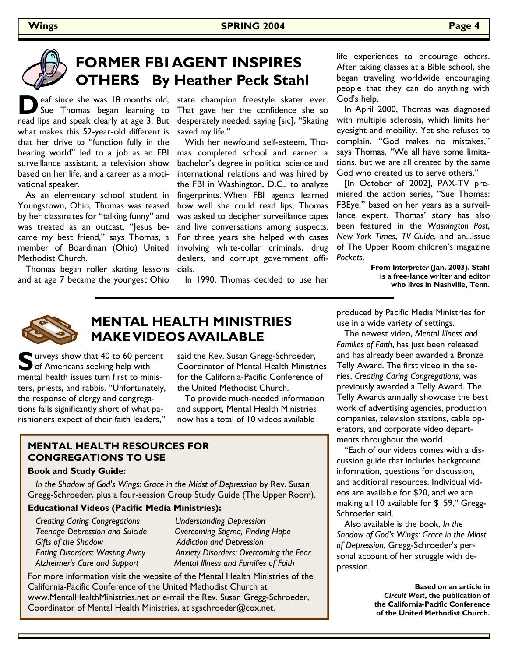# **FORMER FBI AGENT INSPIRES OTHERS By Heather Peck Stahl**

**D** eaf since she was 18 months old,<br>Sue Thomas began learning to read lips and speak clearly at age 3. But what makes this 52-year-old different is that her drive to "function fully in the hearing world" led to a job as an FBI surveillance assistant, a television show based on her life, and a career as a motivational speaker. eaf since she was 18 months old, state champion freestyle skater ever.

 As an elementary school student in Youngstown, Ohio, Thomas was teased by her classmates for "talking funny" and was treated as an outcast. "Jesus became my best friend," says Thomas, a member of Boardman (Ohio) United Methodist Church.

 Thomas began roller skating lessons and at age 7 became the youngest Ohio

That gave her the confidence she so desperately needed, saying [sic], "Skating saved my life."

 With her newfound self-esteem, Thomas completed school and earned a bachelor's degree in political science and international relations and was hired by the FBI in Washington, D.C., to analyze fingerprints. When FBI agents learned how well she could read lips, Thomas was asked to decipher surveillance tapes and live conversations among suspects. For three years she helped with cases involving white-collar criminals, drug dealers, and corrupt government officials.

In 1990, Thomas decided to use her

life experiences to encourage others. After taking classes at a Bible school, she began traveling worldwide encouraging people that they can do anything with God's help.

 In April 2000, Thomas was diagnosed with multiple sclerosis, which limits her eyesight and mobility. Yet she refuses to complain. "God makes no mistakes," says Thomas. "We all have some limitations, but we are all created by the same God who created us to serve others."

 [In October of 2002], PAX-TV premiered the action series, "Sue Thomas: FBEye," based on her years as a surveillance expert. Thomas' story has also been featured in the *Washington Post*, *New York Times*, *TV Guide*, and an...issue of The Upper Room children's magazine *Pockets*.

> **From I***nterpreter* **(Jan. 2003). Stahl is a free-lance writer and editor who lives in Nashville, Tenn.**



## **MENTAL HEALTH MINISTRIES MAKE VIDEOS AVAILABLE**

**Solut** urveys show that 40 to 60 percent of Americans seeking help with mental health issues turn first to ministers, priests, and rabbis. "Unfortunately, the response of clergy and congregations falls significantly short of what parishioners expect of their faith leaders,"

said the Rev. Susan Gregg-Schroeder, Coordinator of Mental Health Ministries for the California-Pacific Conference of the United Methodist Church.

 To provide much-needed information and support, Mental Health Ministries now has a total of 10 videos available

## **MENTAL HEALTH RESOURCES FOR CONGREGATIONS TO USE**

## **Book and Study Guide:**

 *In the Shadow of God's Wings: Grace in the Midst of Depression* by Rev. Susan Gregg-Schroeder, plus a four-session Group Study Guide (The Upper Room).

## **Educational Videos (Pacific Media Ministries):**

 *Creating Caring Congregations Understanding Depression*  **Gifts of the Shadow**  Addiction and Depression

 *Teenage Depression and Suicide Overcoming Stigma, Finding Hope Eating Disorders: Wasting Away Anxiety Disorders: Overcoming the Fear Alzheimer's Care and Support Mental Illness and Families of Faith* 

For more information visit the website of the Mental Health Ministries of the California-Pacific Conference of the United Methodist Church at www.MentalHealthMinistries.net or e-mail the Rev. Susan Gregg-Schroeder, Coordinator of Mental Health Ministries, at sgschroeder@cox.net.

produced by Pacific Media Ministries for use in a wide variety of settings.

The newest video, *Mental Illness and Families of Faith*, has just been released and has already been awarded a Bronze Telly Award. The first video in the series, *Creating Caring Congregations*, was previously awarded a Telly Award. The Telly Awards annually showcase the best work of advertising agencies, production companies, television stations, cable operators, and corporate video departments throughout the world.

 "Each of our videos comes with a discussion guide that includes background information, questions for discussion, and additional resources. Individual videos are available for \$20, and we are making all 10 available for \$159," Gregg-Schroeder said.

 Also available is the book, *In the Shadow of God's Wings: Grace in the Midst of Depression*, Gregg-Schroeder's personal account of her struggle with depression.

> **Based on an article in**  *Circuit West***, the publication of the California-Pacific Conference of the United Methodist Church.**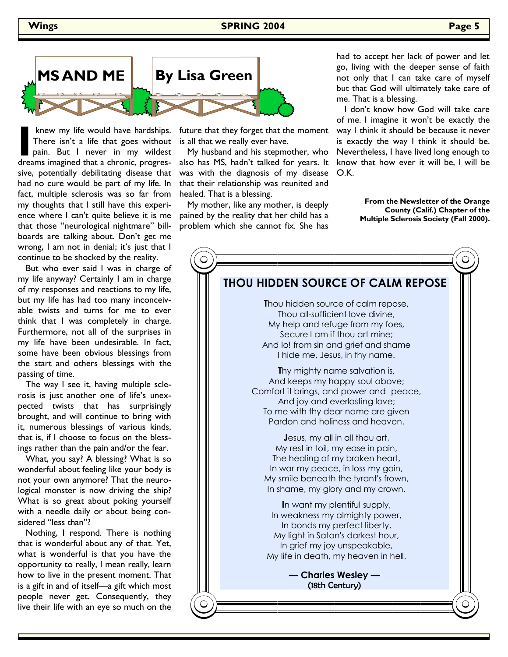**Wings 2004 SPRING 2004 Page 5** 



knew my life would have hardships.<br>There isn't a life that goes without<br>pain. But I never in my wildest<br>dreams imagined that a chronic, progres-There isn't a life that goes without pain. But I never in my wildest dreams imagined that a chronic, progressive, potentially debilitating disease that had no cure would be part of my life. In fact, multiple sclerosis was so far from my thoughts that I still have this experience where I can't quite believe it is me that those "neurological nightmare" billboards are talking about. Don't get me wrong, I am not in denial; it's just that I continue to be shocked by the reality.

 But who ever said I was in charge of my life anyway? Certainly I am in charge of my responses and reactions to my life, but my life has had too many inconceivable twists and turns for me to ever think that I was completely in charge. Furthermore, not all of the surprises in my life have been undesirable. In fact, some have been obvious blessings from the start and others blessings with the passing of time.

 The way I see it, having multiple sclerosis is just another one of life's unexpected twists that has surprisingly brought, and will continue to bring with it, numerous blessings of various kinds, that is, if I choose to focus on the blessings rather than the pain and/or the fear.

 What, you say? A blessing? What is so wonderful about feeling like your body is not your own anymore? That the neurological monster is now driving the ship? What is so great about poking yourself with a needle daily or about being considered "less than"?

 Nothing, I respond. There is nothing that is wonderful about any of that. Yet, what is wonderful is that you have the opportunity to really, I mean really, learn how to live in the present moment. That is a gift in and of itself—a gift which most people never get. Consequently, they live their life with an eye so much on the

future that they forget that the moment is all that we really ever have.

 My husband and his stepmother, who also has MS, hadn't talked for years. It was with the diagnosis of my disease that their relationship was reunited and healed. That is a blessing.

 My mother, like any mother, is deeply pained by the reality that her child has a problem which she cannot fix. She has

had to accept her lack of power and let go, living with the deeper sense of faith not only that I can take care of myself but that God will ultimately take care of me. That is a blessing.

 I don't know how God will take care of me. I imagine it won't be exactly the way I think it should be because it never is exactly the way I think it should be. Nevertheless, I have lived long enough to know that how ever it will be, I will be O.K.

> **From the Newsletter of the Orange County (Calif.) Chapter of the Multiple Sclerosis Society (Fall 2000).**